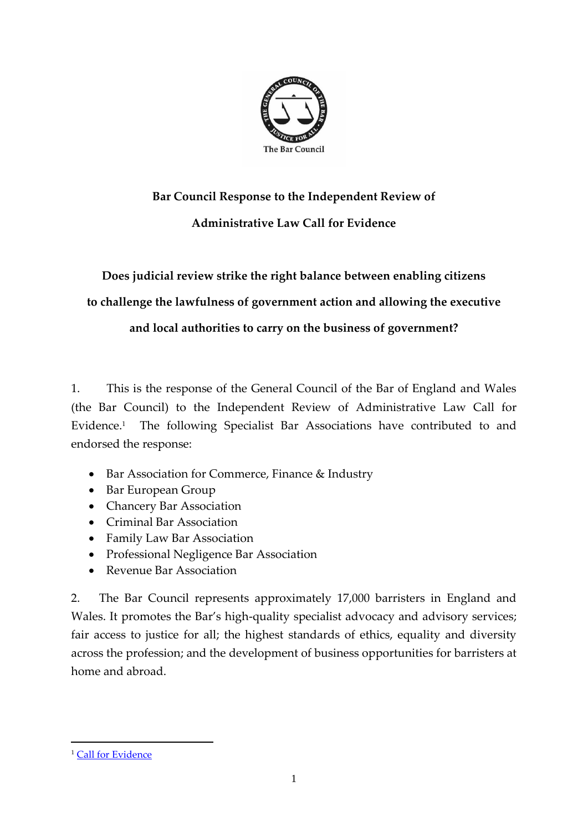

# **Bar Council Response to the Independent Review of Administrative Law Call for Evidence**

**Does judicial review strike the right balance between enabling citizens to challenge the lawfulness of government action and allowing the executive and local authorities to carry on the business of government?**

1. This is the response of the General Council of the Bar of England and Wales (the Bar Council) to the Independent Review of Administrative Law Call for Evidence.<sup>1</sup> The following Specialist Bar Associations have contributed to and endorsed the response:

- Bar Association for Commerce, Finance & Industry
- Bar European Group
- Chancery Bar Association
- Criminal Bar Association
- Family Law Bar Association
- Professional Negligence Bar Association
- Revenue Bar Association

2. The Bar Council represents approximately 17,000 barristers in England and Wales. It promotes the Bar's high-quality specialist advocacy and advisory services; fair access to justice for all; the highest standards of ethics, equality and diversity across the profession; and the development of business opportunities for barristers at home and abroad.

<sup>&</sup>lt;sup>1</sup> [Call for Evidence](https://assets.publishing.service.gov.uk/government/uploads/system/uploads/attachment_data/file/915905/IRAL-call-for-evidence.pdf)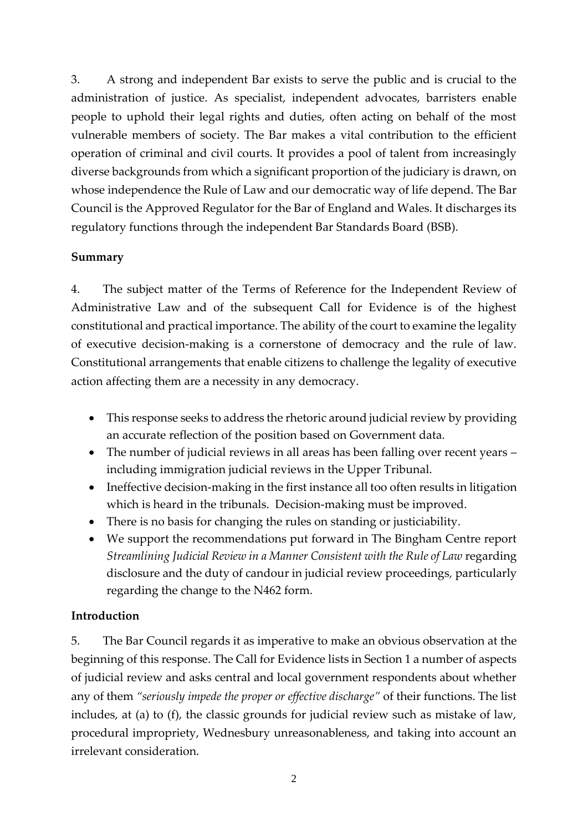3. A strong and independent Bar exists to serve the public and is crucial to the administration of justice. As specialist, independent advocates, barristers enable people to uphold their legal rights and duties, often acting on behalf of the most vulnerable members of society. The Bar makes a vital contribution to the efficient operation of criminal and civil courts. It provides a pool of talent from increasingly diverse backgrounds from which a significant proportion of the judiciary is drawn, on whose independence the Rule of Law and our democratic way of life depend. The Bar Council is the Approved Regulator for the Bar of England and Wales. It discharges its regulatory functions through the independent Bar Standards Board (BSB).

# **Summary**

4. The subject matter of the Terms of Reference for the Independent Review of Administrative Law and of the subsequent Call for Evidence is of the highest constitutional and practical importance. The ability of the court to examine the legality of executive decision-making is a cornerstone of democracy and the rule of law. Constitutional arrangements that enable citizens to challenge the legality of executive action affecting them are a necessity in any democracy.

- This response seeks to address the rhetoric around judicial review by providing an accurate reflection of the position based on Government data.
- The number of judicial reviews in all areas has been falling over recent years including immigration judicial reviews in the Upper Tribunal.
- Ineffective decision-making in the first instance all too often results in litigation which is heard in the tribunals. Decision-making must be improved.
- There is no basis for changing the rules on standing or justiciability.
- We support the recommendations put forward in The Bingham Centre report *Streamlining Judicial Review in a Manner Consistent with the Rule of Law* regarding disclosure and the duty of candour in judicial review proceedings*,* particularly regarding the change to the N462 form.

# **Introduction**

5. The Bar Council regards it as imperative to make an obvious observation at the beginning of this response. The Call for Evidence lists in Section 1 a number of aspects of judicial review and asks central and local government respondents about whether any of them *"seriously impede the proper or effective discharge"* of their functions. The list includes, at (a) to (f), the classic grounds for judicial review such as mistake of law, procedural impropriety, Wednesbury unreasonableness, and taking into account an irrelevant consideration.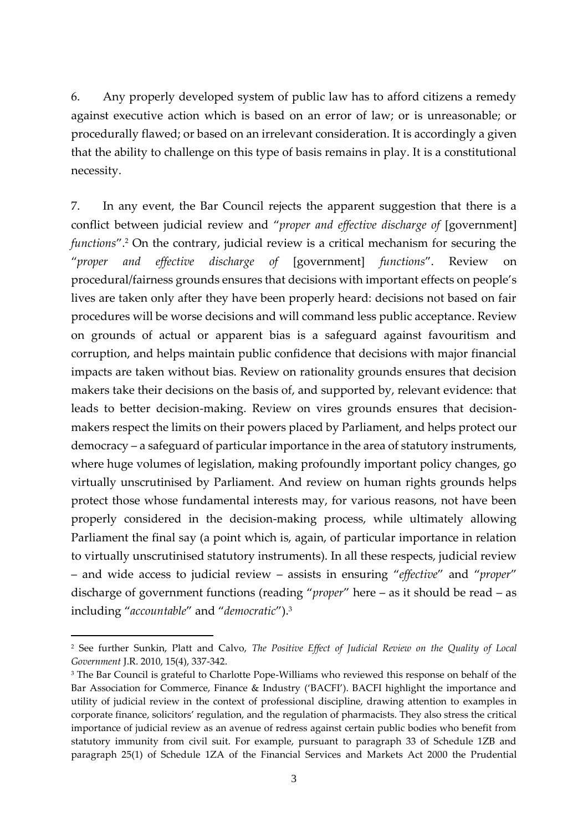6. Any properly developed system of public law has to afford citizens a remedy against executive action which is based on an error of law; or is unreasonable; or procedurally flawed; or based on an irrelevant consideration. It is accordingly a given that the ability to challenge on this type of basis remains in play. It is a constitutional necessity.

7. In any event, the Bar Council rejects the apparent suggestion that there is a conflict between judicial review and "*proper and effective discharge of* [government] *functions*".<sup>2</sup> On the contrary, judicial review is a critical mechanism for securing the "*proper and effective discharge of* [government] *functions*". Review on procedural/fairness grounds ensures that decisions with important effects on people's lives are taken only after they have been properly heard: decisions not based on fair procedures will be worse decisions and will command less public acceptance. Review on grounds of actual or apparent bias is a safeguard against favouritism and corruption, and helps maintain public confidence that decisions with major financial impacts are taken without bias. Review on rationality grounds ensures that decision makers take their decisions on the basis of, and supported by, relevant evidence: that leads to better decision-making. Review on vires grounds ensures that decisionmakers respect the limits on their powers placed by Parliament, and helps protect our democracy – a safeguard of particular importance in the area of statutory instruments, where huge volumes of legislation, making profoundly important policy changes, go virtually unscrutinised by Parliament. And review on human rights grounds helps protect those whose fundamental interests may, for various reasons, not have been properly considered in the decision-making process, while ultimately allowing Parliament the final say (a point which is, again, of particular importance in relation to virtually unscrutinised statutory instruments). In all these respects, judicial review – and wide access to judicial review – assists in ensuring "*effective*" and "*proper*" discharge of government functions (reading "*proper*" here – as it should be read – as including "*accountable*" and "*democratic*").<sup>3</sup>

<sup>2</sup> See further Sunkin, Platt and Calvo, *The Positive Effect of Judicial Review on the Quality of Local Government* J.R. 2010, 15(4), 337-342.

<sup>&</sup>lt;sup>3</sup> The Bar Council is grateful to Charlotte Pope-Williams who reviewed this response on behalf of the Bar Association for Commerce, Finance & Industry ('BACFI'). BACFI highlight the importance and utility of judicial review in the context of professional discipline, drawing attention to examples in corporate finance, solicitors' regulation, and the regulation of pharmacists. They also stress the critical importance of judicial review as an avenue of redress against certain public bodies who benefit from statutory immunity from civil suit. For example, pursuant to paragraph 33 of Schedule 1ZB and paragraph 25(1) of Schedule 1ZA of the Financial Services and Markets Act 2000 the Prudential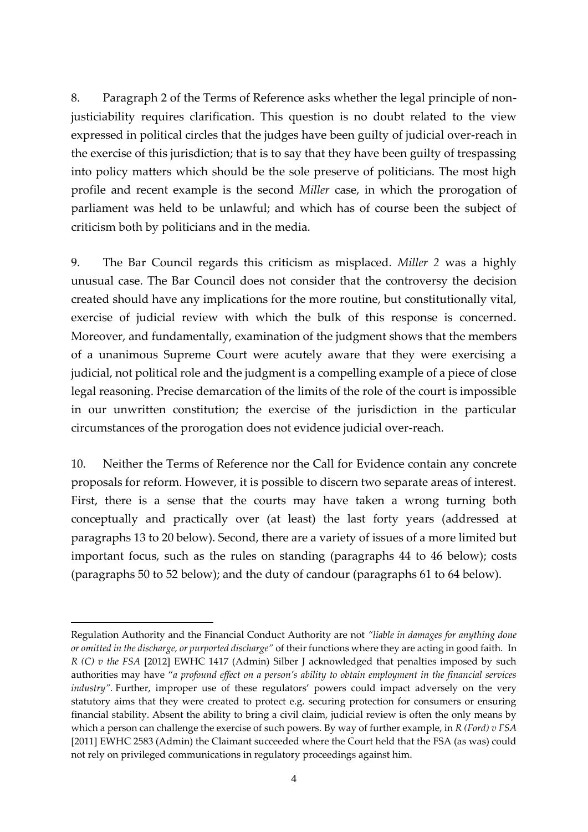8. Paragraph 2 of the Terms of Reference asks whether the legal principle of nonjusticiability requires clarification. This question is no doubt related to the view expressed in political circles that the judges have been guilty of judicial over-reach in the exercise of this jurisdiction; that is to say that they have been guilty of trespassing into policy matters which should be the sole preserve of politicians. The most high profile and recent example is the second *Miller* case, in which the prorogation of parliament was held to be unlawful; and which has of course been the subject of criticism both by politicians and in the media.

9. The Bar Council regards this criticism as misplaced. *Miller 2* was a highly unusual case. The Bar Council does not consider that the controversy the decision created should have any implications for the more routine, but constitutionally vital, exercise of judicial review with which the bulk of this response is concerned. Moreover, and fundamentally, examination of the judgment shows that the members of a unanimous Supreme Court were acutely aware that they were exercising a judicial, not political role and the judgment is a compelling example of a piece of close legal reasoning. Precise demarcation of the limits of the role of the court is impossible in our unwritten constitution; the exercise of the jurisdiction in the particular circumstances of the prorogation does not evidence judicial over-reach.

10. Neither the Terms of Reference nor the Call for Evidence contain any concrete proposals for reform. However, it is possible to discern two separate areas of interest. First, there is a sense that the courts may have taken a wrong turning both conceptually and practically over (at least) the last forty years (addressed at paragraphs 13 to 20 below). Second, there are a variety of issues of a more limited but important focus, such as the rules on standing (paragraphs 44 to 46 below); costs (paragraphs 50 to 52 below); and the duty of candour (paragraphs 61 to 64 below).

Regulation Authority and the Financial Conduct Authority are not *"liable in damages for anything done or omitted in the discharge, or purported discharge"* of their functions where they are acting in good faith. In *R (C) v the FSA* [2012] EWHC 1417 (Admin) Silber J acknowledged that penalties imposed by such authorities may have "*a profound effect on a person's ability to obtain employment in the financial services*  industry". Further, improper use of these regulators' powers could impact adversely on the very statutory aims that they were created to protect e.g. securing protection for consumers or ensuring financial stability. Absent the ability to bring a civil claim, judicial review is often the only means by which a person can challenge the exercise of such powers. By way of further example, in *R (Ford) v FSA*  [2011] EWHC 2583 (Admin) the Claimant succeeded where the Court held that the FSA (as was) could not rely on privileged communications in regulatory proceedings against him.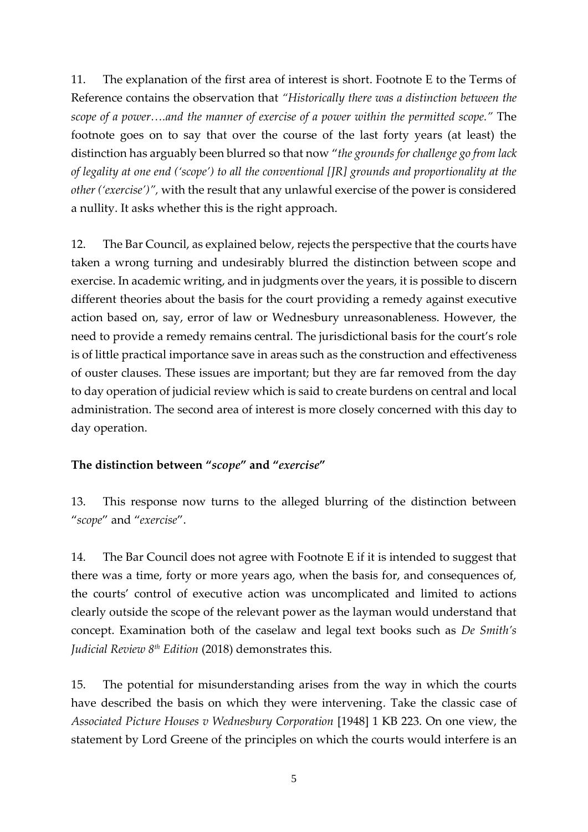11. The explanation of the first area of interest is short. Footnote E to the Terms of Reference contains the observation that *"Historically there was a distinction between the scope of a power….and the manner of exercise of a power within the permitted scope."* The footnote goes on to say that over the course of the last forty years (at least) the distinction has arguably been blurred so that now "*the grounds for challenge go from lack of legality at one end ('scope') to all the conventional [JR] grounds and proportionality at the other ('exercise')",* with the result that any unlawful exercise of the power is considered a nullity. It asks whether this is the right approach.

12. The Bar Council, as explained below, rejects the perspective that the courts have taken a wrong turning and undesirably blurred the distinction between scope and exercise. In academic writing, and in judgments over the years, it is possible to discern different theories about the basis for the court providing a remedy against executive action based on, say, error of law or Wednesbury unreasonableness. However, the need to provide a remedy remains central. The jurisdictional basis for the court's role is of little practical importance save in areas such as the construction and effectiveness of ouster clauses. These issues are important; but they are far removed from the day to day operation of judicial review which is said to create burdens on central and local administration. The second area of interest is more closely concerned with this day to day operation.

# **The distinction between "***scope***" and "***exercise***"**

13. This response now turns to the alleged blurring of the distinction between "*scope*" and "*exercise*".

14. The Bar Council does not agree with Footnote E if it is intended to suggest that there was a time, forty or more years ago, when the basis for, and consequences of, the courts' control of executive action was uncomplicated and limited to actions clearly outside the scope of the relevant power as the layman would understand that concept. Examination both of the caselaw and legal text books such as *De Smith's Judicial Review 8th Edition* (2018) demonstrates this.

15. The potential for misunderstanding arises from the way in which the courts have described the basis on which they were intervening. Take the classic case of *Associated Picture Houses v Wednesbury Corporation* [1948] 1 KB 223. On one view, the statement by Lord Greene of the principles on which the courts would interfere is an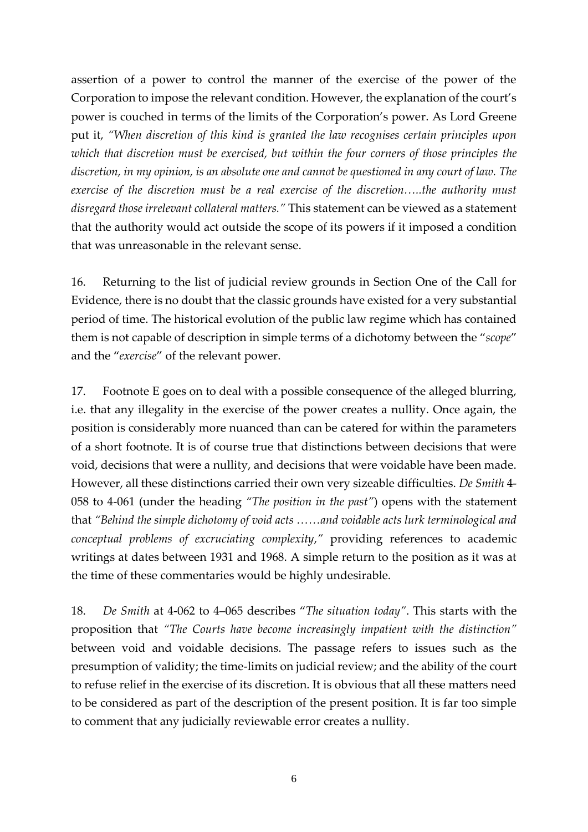assertion of a power to control the manner of the exercise of the power of the Corporation to impose the relevant condition. However, the explanation of the court's power is couched in terms of the limits of the Corporation's power. As Lord Greene put it, *"When discretion of this kind is granted the law recognises certain principles upon which that discretion must be exercised, but within the four corners of those principles the discretion, in my opinion, is an absolute one and cannot be questioned in any court of law. The exercise of the discretion must be a real exercise of the discretion…..the authority must disregard those irrelevant collateral matters."* This statement can be viewed as a statement that the authority would act outside the scope of its powers if it imposed a condition that was unreasonable in the relevant sense.

16. Returning to the list of judicial review grounds in Section One of the Call for Evidence, there is no doubt that the classic grounds have existed for a very substantial period of time. The historical evolution of the public law regime which has contained them is not capable of description in simple terms of a dichotomy between the "*scope*" and the "*exercise*" of the relevant power.

17. Footnote E goes on to deal with a possible consequence of the alleged blurring, i.e. that any illegality in the exercise of the power creates a nullity. Once again, the position is considerably more nuanced than can be catered for within the parameters of a short footnote. It is of course true that distinctions between decisions that were void, decisions that were a nullity, and decisions that were voidable have been made. However, all these distinctions carried their own very sizeable difficulties. *De Smith* 4- 058 to 4-061 (under the heading *"The position in the past"*) opens with the statement that *"Behind the simple dichotomy of void acts ……and voidable acts lurk terminological and conceptual problems of excruciating complexity*,*"* providing references to academic writings at dates between 1931 and 1968. A simple return to the position as it was at the time of these commentaries would be highly undesirable.

18. *De Smith* at 4-062 to 4–065 describes "*The situation today"*. This starts with the proposition that *"The Courts have become increasingly impatient with the distinction"*  between void and voidable decisions. The passage refers to issues such as the presumption of validity; the time-limits on judicial review; and the ability of the court to refuse relief in the exercise of its discretion. It is obvious that all these matters need to be considered as part of the description of the present position. It is far too simple to comment that any judicially reviewable error creates a nullity.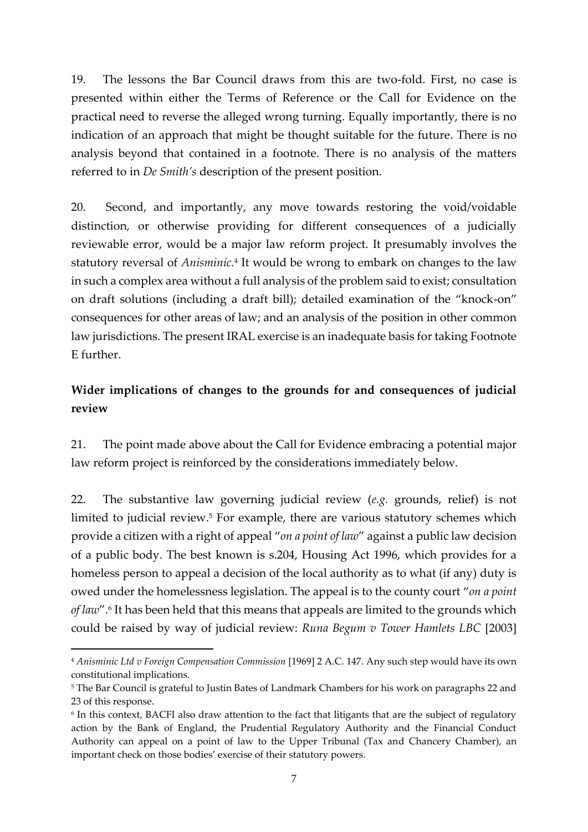19. The lessons the Bar Council draws from this are two-fold. First, no case is presented within either the Terms of Reference or the Call for Evidence on the practical need to reverse the alleged wrong turning. Equally importantly, there is no indication of an approach that might be thought suitable for the future. There is no analysis beyond that contained in a footnote. There is no analysis of the matters referred to in *De Smith's* description of the present position.

20. Second, and importantly, any move towards restoring the void/voidable distinction, or otherwise providing for different consequences of a judicially reviewable error, would be a major law reform project. It presumably involves the statutory reversal of *Anisminic.*<sup>4</sup> It would be wrong to embark on changes to the law in such a complex area without a full analysis of the problem said to exist; consultation on draft solutions (including a draft bill); detailed examination of the "knock-on" consequences for other areas of law; and an analysis of the position in other common law jurisdictions. The present IRAL exercise is an inadequate basis for taking Footnote E further.

# **Wider implications of changes to the grounds for and consequences of judicial review**

21. The point made above about the Call for Evidence embracing a potential major law reform project is reinforced by the considerations immediately below.

22. The substantive law governing judicial review (*e.g.* grounds, relief) is not limited to judicial review. <sup>5</sup> For example, there are various statutory schemes which provide a citizen with a right of appeal "*on a point of law*" against a public law decision of a public body. The best known is s.204, Housing Act 1996, which provides for a homeless person to appeal a decision of the local authority as to what (if any) duty is owed under the homelessness legislation. The appeal is to the county court "*on a point*  of law".<sup>6</sup> It has been held that this means that appeals are limited to the grounds which could be raised by way of judicial review: *Runa Begum v Tower Hamlets LBC* [2003]

<sup>4</sup> *Anisminic Ltd v Foreign Compensation Commission* [1969] 2 A.C. 147. Any such step would have its own constitutional implications.

<sup>5</sup> The Bar Council is grateful to Justin Bates of Landmark Chambers for his work on paragraphs 22 and 23 of this response.

<sup>6</sup> In this context, BACFI also draw attention to the fact that litigants that are the subject of regulatory action by the Bank of England, the Prudential Regulatory Authority and the Financial Conduct Authority can appeal on a point of law to the Upper Tribunal (Tax and Chancery Chamber), an important check on those bodies' exercise of their statutory powers.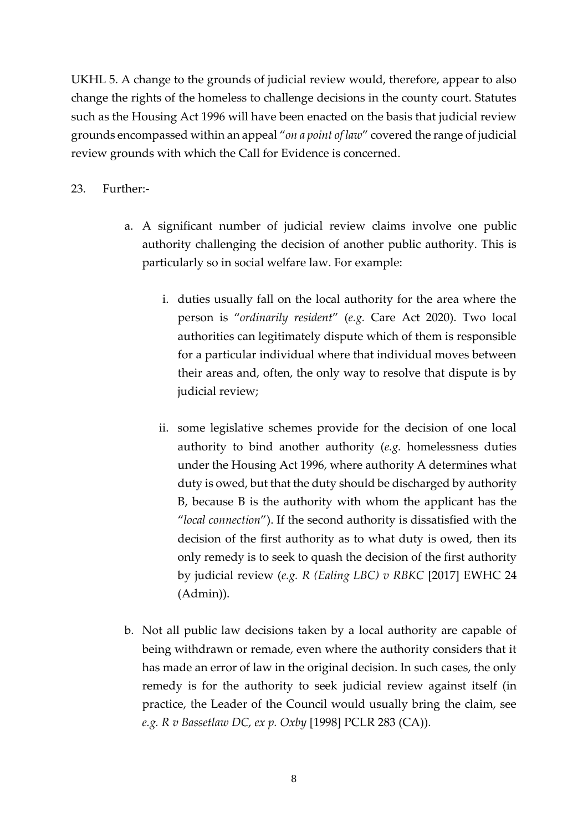UKHL 5. A change to the grounds of judicial review would, therefore, appear to also change the rights of the homeless to challenge decisions in the county court. Statutes such as the Housing Act 1996 will have been enacted on the basis that judicial review grounds encompassed within an appeal "*on a point of law*" covered the range of judicial review grounds with which the Call for Evidence is concerned.

#### 23. Further:-

- a. A significant number of judicial review claims involve one public authority challenging the decision of another public authority. This is particularly so in social welfare law. For example:
	- i. duties usually fall on the local authority for the area where the person is "*ordinarily resident*" (*e.g.* Care Act 2020). Two local authorities can legitimately dispute which of them is responsible for a particular individual where that individual moves between their areas and, often, the only way to resolve that dispute is by judicial review;
	- ii. some legislative schemes provide for the decision of one local authority to bind another authority (*e.g.* homelessness duties under the Housing Act 1996, where authority A determines what duty is owed, but that the duty should be discharged by authority B, because B is the authority with whom the applicant has the "*local connection*"). If the second authority is dissatisfied with the decision of the first authority as to what duty is owed, then its only remedy is to seek to quash the decision of the first authority by judicial review (*e.g. R (Ealing LBC) v RBKC* [2017] EWHC 24 (Admin)).
- b. Not all public law decisions taken by a local authority are capable of being withdrawn or remade, even where the authority considers that it has made an error of law in the original decision. In such cases, the only remedy is for the authority to seek judicial review against itself (in practice, the Leader of the Council would usually bring the claim, see *e.g. R v Bassetlaw DC, ex p. Oxby* [1998] PCLR 283 (CA)).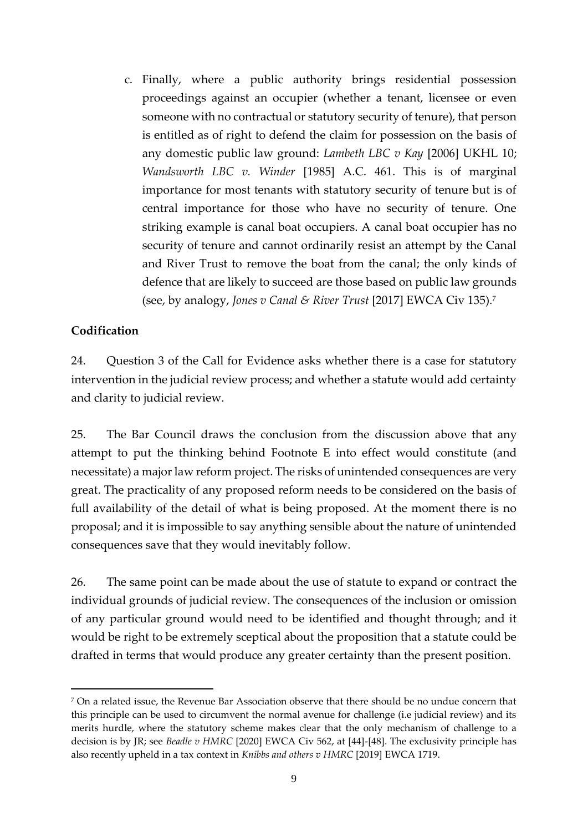c. Finally, where a public authority brings residential possession proceedings against an occupier (whether a tenant, licensee or even someone with no contractual or statutory security of tenure), that person is entitled as of right to defend the claim for possession on the basis of any domestic public law ground: *Lambeth LBC v Kay* [2006] UKHL 10; *Wandsworth LBC v. Winder* [1985] A.C. 461. This is of marginal importance for most tenants with statutory security of tenure but is of central importance for those who have no security of tenure. One striking example is canal boat occupiers. A canal boat occupier has no security of tenure and cannot ordinarily resist an attempt by the Canal and River Trust to remove the boat from the canal; the only kinds of defence that are likely to succeed are those based on public law grounds (see, by analogy, *Jones v Canal & River Trust* [2017] EWCA Civ 135).<sup>7</sup>

# **Codification**

24. Question 3 of the Call for Evidence asks whether there is a case for statutory intervention in the judicial review process; and whether a statute would add certainty and clarity to judicial review.

25. The Bar Council draws the conclusion from the discussion above that any attempt to put the thinking behind Footnote E into effect would constitute (and necessitate) a major law reform project. The risks of unintended consequences are very great. The practicality of any proposed reform needs to be considered on the basis of full availability of the detail of what is being proposed. At the moment there is no proposal; and it is impossible to say anything sensible about the nature of unintended consequences save that they would inevitably follow.

26. The same point can be made about the use of statute to expand or contract the individual grounds of judicial review. The consequences of the inclusion or omission of any particular ground would need to be identified and thought through; and it would be right to be extremely sceptical about the proposition that a statute could be drafted in terms that would produce any greater certainty than the present position.

 $7$  On a related issue, the Revenue Bar Association observe that there should be no undue concern that this principle can be used to circumvent the normal avenue for challenge (i.e judicial review) and its merits hurdle, where the statutory scheme makes clear that the only mechanism of challenge to a decision is by JR; see *Beadle v HMRC* [2020] EWCA Civ 562, at [44]-[48]. The exclusivity principle has also recently upheld in a tax context in *Knibbs and others v HMRC* [2019] EWCA 1719.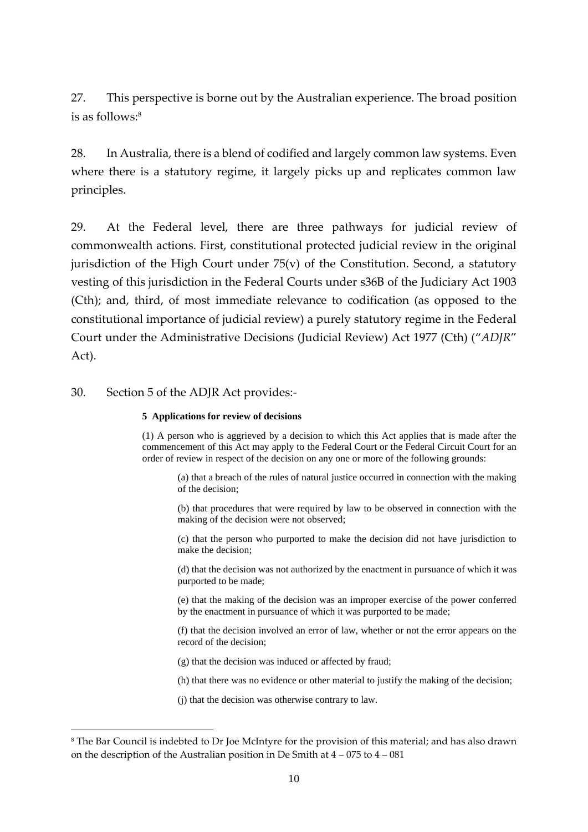27. This perspective is borne out by the Australian experience. The broad position is as follows: 8

28. In Australia, there is a blend of codified and largely common law systems. Even where there is a statutory regime, it largely picks up and replicates common law principles.

29. At the Federal level, there are three pathways for judicial review of commonwealth actions. First, constitutional protected judicial review in the original jurisdiction of the High Court under  $75(v)$  of the Constitution. Second, a statutory vesting of this jurisdiction in the Federal Courts under s36B of the Judiciary Act 1903 (Cth); and, third, of most immediate relevance to codification (as opposed to the constitutional importance of judicial review) a purely statutory regime in the Federal Court under the Administrative Decisions (Judicial Review) Act 1977 (Cth) ("*ADJR*" Act).

#### 30. Section 5 of the ADJR Act provides:-

#### **5 Applications for review of decisions**

(1) A person who is aggrieved by a decision to which this Act applies that is made after the commencement of this Act may apply to the Federal Court or the Federal Circuit Court for an order of review in respect of the decision on any one or more of the following grounds:

(a) that a breach of the rules of natural justice occurred in connection with the making of the decision;

(b) that procedures that were required by law to be observed in connection with the making of the decision were not observed;

(c) that the person who purported to make the decision did not have jurisdiction to make the decision;

(d) that the decision was not authorized by the enactment in pursuance of which it was purported to be made;

(e) that the making of the decision was an improper exercise of the power conferred by the enactment in pursuance of which it was purported to be made;

(f) that the decision involved an error of law, whether or not the error appears on the record of the decision;

(g) that the decision was induced or affected by fraud;

(h) that there was no evidence or other material to justify the making of the decision;

(j) that the decision was otherwise contrary to law.

<sup>8</sup> The Bar Council is indebted to Dr Joe McIntyre for the provision of this material; and has also drawn on the description of the Australian position in De Smith at  $4 - 075$  to  $4 - 081$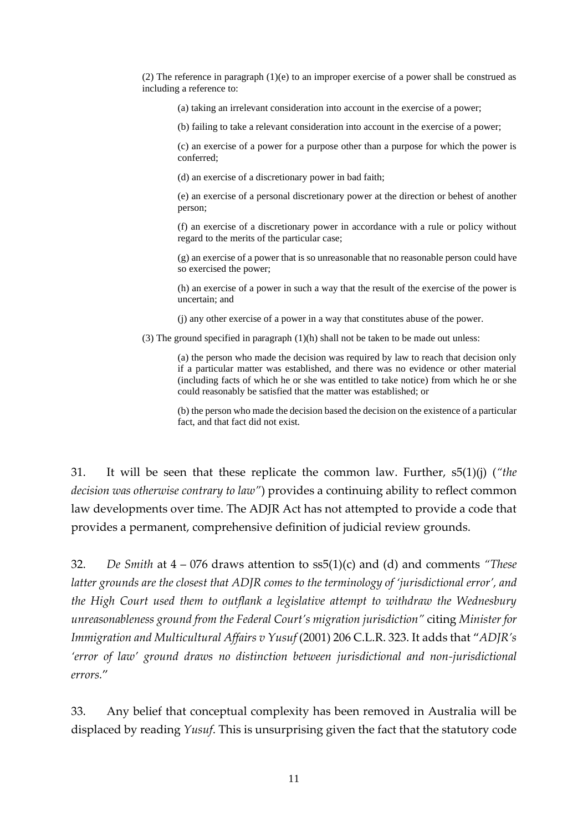(2) The reference in paragraph  $(1)(e)$  to an improper exercise of a power shall be construed as including a reference to:

(a) taking an irrelevant consideration into account in the exercise of a power;

(b) failing to take a relevant consideration into account in the exercise of a power;

(c) an exercise of a power for a purpose other than a purpose for which the power is conferred;

(d) an exercise of a discretionary power in bad faith;

(e) an exercise of a personal discretionary power at the direction or behest of another person;

(f) an exercise of a discretionary power in accordance with a rule or policy without regard to the merits of the particular case;

(g) an exercise of a power that is so unreasonable that no reasonable person could have so exercised the power;

(h) an exercise of a power in such a way that the result of the exercise of the power is uncertain; and

(j) any other exercise of a power in a way that constitutes abuse of the power.

(3) The ground specified in paragraph (1)(h) shall not be taken to be made out unless:

(a) the person who made the decision was required by law to reach that decision only if a particular matter was established, and there was no evidence or other material (including facts of which he or she was entitled to take notice) from which he or she could reasonably be satisfied that the matter was established; or

(b) the person who made the decision based the decision on the existence of a particular fact, and that fact did not exist.

31. It will be seen that these replicate the common law. Further, s5(1)(j) (*"the decision was otherwise contrary to law"*) provides a continuing ability to reflect common law developments over time. The ADJR Act has not attempted to provide a code that provides a permanent, comprehensive definition of judicial review grounds.

32. *De Smith* at 4 – 076 draws attention to ss5(1)(c) and (d) and comments *"These latter grounds are the closest that ADJR comes to the terminology of 'jurisdictional error', and the High Court used them to outflank a legislative attempt to withdraw the Wednesbury unreasonableness ground from the Federal Court's migration jurisdiction"* citing *Minister for Immigration and Multicultural Affairs v Yusuf* (2001) 206 C.L.R. 323. It adds that "*ADJR's 'error of law' ground draws no distinction between jurisdictional and non-jurisdictional errors.*"

33. Any belief that conceptual complexity has been removed in Australia will be displaced by reading *Yusuf*. This is unsurprising given the fact that the statutory code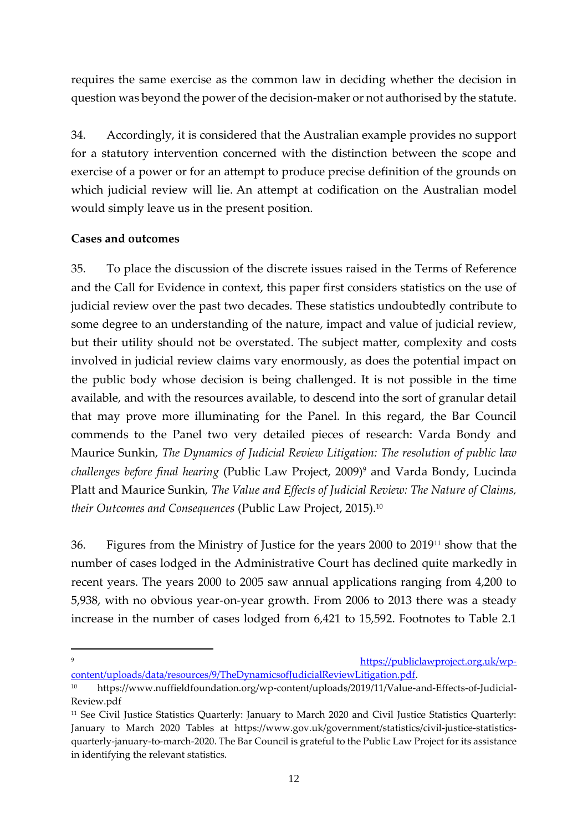requires the same exercise as the common law in deciding whether the decision in question was beyond the power of the decision-maker or not authorised by the statute.

34. Accordingly, it is considered that the Australian example provides no support for a statutory intervention concerned with the distinction between the scope and exercise of a power or for an attempt to produce precise definition of the grounds on which judicial review will lie. An attempt at codification on the Australian model would simply leave us in the present position.

# **Cases and outcomes**

35. To place the discussion of the discrete issues raised in the Terms of Reference and the Call for Evidence in context, this paper first considers statistics on the use of judicial review over the past two decades. These statistics undoubtedly contribute to some degree to an understanding of the nature, impact and value of judicial review, but their utility should not be overstated. The subject matter, complexity and costs involved in judicial review claims vary enormously, as does the potential impact on the public body whose decision is being challenged. It is not possible in the time available, and with the resources available, to descend into the sort of granular detail that may prove more illuminating for the Panel. In this regard, the Bar Council commends to the Panel two very detailed pieces of research: Varda Bondy and Maurice Sunkin, *The Dynamics of Judicial Review Litigation: The resolution of public law challenges before final hearing* (Public Law Project, 2009)<sup>9</sup> and Varda Bondy, Lucinda Platt and Maurice Sunkin, *The Value and Effects of Judicial Review: The Nature of Claims, their Outcomes and Consequences* (Public Law Project, 2015).<sup>10</sup>

36. Figures from the Ministry of Justice for the years 2000 to 2019<sup>11</sup> show that the number of cases lodged in the Administrative Court has declined quite markedly in recent years. The years 2000 to 2005 saw annual applications ranging from 4,200 to 5,938, with no obvious year-on-year growth. From 2006 to 2013 there was a steady increase in the number of cases lodged from 6,421 to 15,592. Footnotes to Table 2.1

<sup>9</sup> [https://publiclawproject.org.uk/wp](https://publiclawproject.org.uk/wp-content/uploads/data/resources/9/TheDynamicsofJudicialReviewLitigation.pdf)[content/uploads/data/resources/9/TheDynamicsofJudicialReviewLitigation.pdf.](https://publiclawproject.org.uk/wp-content/uploads/data/resources/9/TheDynamicsofJudicialReviewLitigation.pdf)

<sup>10</sup> [https://www.nuffieldfoundation.org/wp-content/uploads/2019/11/Value-and-Effects-of-Judicial-](https://www.nuffieldfoundation.org/wp-content/uploads/2019/11/Value-and-Effects-of-Judicial-Review.pdf)[Review.pdf](https://www.nuffieldfoundation.org/wp-content/uploads/2019/11/Value-and-Effects-of-Judicial-Review.pdf)

<sup>11</sup> See Civil Justice Statistics Quarterly: January to March 2020 and Civil Justice Statistics Quarterly: January to March 2020 Tables at [https://www.gov.uk/government/statistics/civil-justice-statistics](https://www.gov.uk/government/statistics/civil-justice-statistics-quarterly-january-to-march-2020)[quarterly-january-to-march-2020.](https://www.gov.uk/government/statistics/civil-justice-statistics-quarterly-january-to-march-2020) The Bar Council is grateful to the Public Law Project for its assistance in identifying the relevant statistics.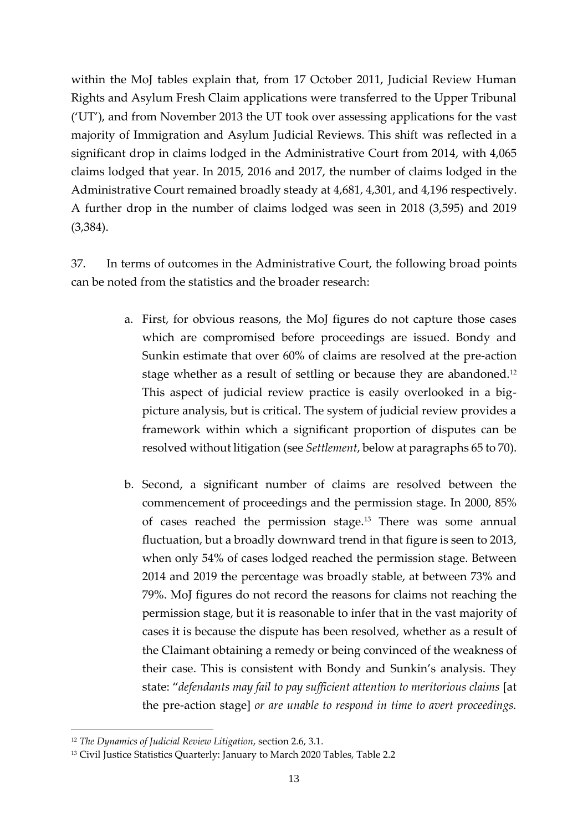within the MoJ tables explain that, from 17 October 2011, Judicial Review Human Rights and Asylum Fresh Claim applications were transferred to the Upper Tribunal ('UT'), and from November 2013 the UT took over assessing applications for the vast majority of Immigration and Asylum Judicial Reviews. This shift was reflected in a significant drop in claims lodged in the Administrative Court from 2014, with 4,065 claims lodged that year. In 2015, 2016 and 2017, the number of claims lodged in the Administrative Court remained broadly steady at 4,681, 4,301, and 4,196 respectively. A further drop in the number of claims lodged was seen in 2018 (3,595) and 2019 (3,384).

37. In terms of outcomes in the Administrative Court, the following broad points can be noted from the statistics and the broader research:

- a. First, for obvious reasons, the MoJ figures do not capture those cases which are compromised before proceedings are issued. Bondy and Sunkin estimate that over 60% of claims are resolved at the pre-action stage whether as a result of settling or because they are abandoned.<sup>12</sup> This aspect of judicial review practice is easily overlooked in a bigpicture analysis, but is critical. The system of judicial review provides a framework within which a significant proportion of disputes can be resolved without litigation (see *Settlement*, below at paragraphs 65 to 70).
- b. Second, a significant number of claims are resolved between the commencement of proceedings and the permission stage. In 2000, 85% of cases reached the permission stage.<sup>13</sup> There was some annual fluctuation, but a broadly downward trend in that figure is seen to 2013, when only 54% of cases lodged reached the permission stage. Between 2014 and 2019 the percentage was broadly stable, at between 73% and 79%. MoJ figures do not record the reasons for claims not reaching the permission stage, but it is reasonable to infer that in the vast majority of cases it is because the dispute has been resolved, whether as a result of the Claimant obtaining a remedy or being convinced of the weakness of their case. This is consistent with Bondy and Sunkin's analysis. They state: "*defendants may fail to pay sufficient attention to meritorious claims* [at the pre-action stage] *or are unable to respond in time to avert proceedings.*

<sup>12</sup> *The Dynamics of Judicial Review Litigation*, section 2.6, 3.1.

<sup>&</sup>lt;sup>13</sup> Civil Justice Statistics Quarterly: January to March 2020 Tables, Table 2.2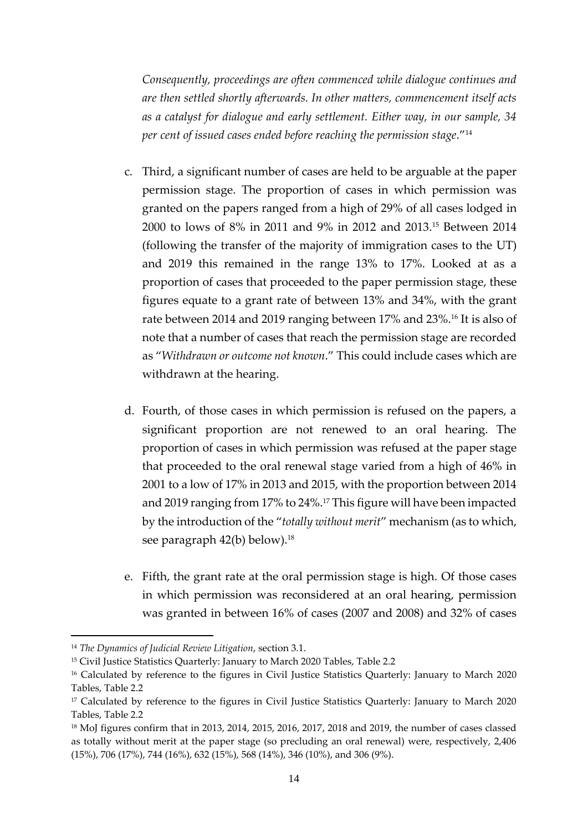*Consequently, proceedings are often commenced while dialogue continues and are then settled shortly afterwards. In other matters, commencement itself acts as a catalyst for dialogue and early settlement. Either way, in our sample, 34 per cent of issued cases ended before reaching the permission stage*."<sup>14</sup>

- c. Third, a significant number of cases are held to be arguable at the paper permission stage. The proportion of cases in which permission was granted on the papers ranged from a high of 29% of all cases lodged in 2000 to lows of 8% in 2011 and 9% in 2012 and 2013. <sup>15</sup> Between 2014 (following the transfer of the majority of immigration cases to the UT) and 2019 this remained in the range 13% to 17%. Looked at as a proportion of cases that proceeded to the paper permission stage, these figures equate to a grant rate of between 13% and 34%, with the grant rate between 2014 and 2019 ranging between 17% and 23%.<sup>16</sup> It is also of note that a number of cases that reach the permission stage are recorded as "*Withdrawn or outcome not known*." This could include cases which are withdrawn at the hearing.
- d. Fourth, of those cases in which permission is refused on the papers, a significant proportion are not renewed to an oral hearing. The proportion of cases in which permission was refused at the paper stage that proceeded to the oral renewal stage varied from a high of 46% in 2001 to a low of 17% in 2013 and 2015, with the proportion between 2014 and 2019 ranging from 17% to 24%.<sup>17</sup> This figure will have been impacted by the introduction of the "*totally without merit*" mechanism (as to which, see paragraph 42(b) below).<sup>18</sup>
- e. Fifth, the grant rate at the oral permission stage is high. Of those cases in which permission was reconsidered at an oral hearing, permission was granted in between 16% of cases (2007 and 2008) and 32% of cases

<sup>14</sup> *The Dynamics of Judicial Review Litigation*, section 3.1.

<sup>15</sup> Civil Justice Statistics Quarterly: January to March 2020 Tables, Table 2.2

<sup>&</sup>lt;sup>16</sup> Calculated by reference to the figures in Civil Justice Statistics Quarterly: January to March 2020 Tables, Table 2.2

<sup>17</sup> Calculated by reference to the figures in Civil Justice Statistics Quarterly: January to March 2020 Tables, Table 2.2

<sup>18</sup> MoJ figures confirm that in 2013, 2014, 2015, 2016, 2017, 2018 and 2019, the number of cases classed as totally without merit at the paper stage (so precluding an oral renewal) were, respectively, 2,406 (15%), 706 (17%), 744 (16%), 632 (15%), 568 (14%), 346 (10%), and 306 (9%).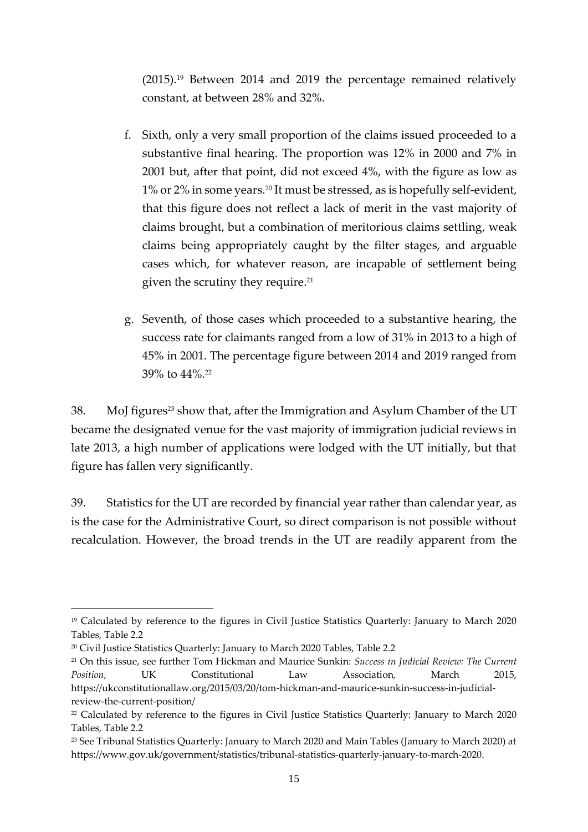(2015).<sup>19</sup> Between 2014 and 2019 the percentage remained relatively constant, at between 28% and 32%.

- f. Sixth, only a very small proportion of the claims issued proceeded to a substantive final hearing. The proportion was 12% in 2000 and 7% in 2001 but, after that point, did not exceed 4%, with the figure as low as 1% or 2% in some years.<sup>20</sup> It must be stressed, as is hopefully self-evident, that this figure does not reflect a lack of merit in the vast majority of claims brought, but a combination of meritorious claims settling, weak claims being appropriately caught by the filter stages, and arguable cases which, for whatever reason, are incapable of settlement being given the scrutiny they require. 21
- g. Seventh, of those cases which proceeded to a substantive hearing, the success rate for claimants ranged from a low of 31% in 2013 to a high of 45% in 2001. The percentage figure between 2014 and 2019 ranged from 39% to 44%.<sup>22</sup>

38. MoJ figures<sup>23</sup> show that, after the Immigration and Asylum Chamber of the UT became the designated venue for the vast majority of immigration judicial reviews in late 2013, a high number of applications were lodged with the UT initially, but that figure has fallen very significantly.

39. Statistics for the UT are recorded by financial year rather than calendar year, as is the case for the Administrative Court, so direct comparison is not possible without recalculation. However, the broad trends in the UT are readily apparent from the

<sup>19</sup> Calculated by reference to the figures in Civil Justice Statistics Quarterly: January to March 2020 Tables, Table 2.2

<sup>20</sup> Civil Justice Statistics Quarterly: January to March 2020 Tables, Table 2.2

<sup>21</sup> On this issue, see further Tom Hickman and Maurice Sunkin: *Success in Judicial Review: The Current Position*, UK Constitutional Law Association, March 2015, https://ukconstitutionallaw.org/2015/03/20/tom-hickman-and-maurice-sunkin-success-in-judicialreview-the-current-position/

<sup>22</sup> Calculated by reference to the figures in Civil Justice Statistics Quarterly: January to March 2020 Tables, Table 2.2

<sup>23</sup> See Tribunal Statistics Quarterly: January to March 2020 and Main Tables (January to March 2020) at [https://www.gov.uk/government/statistics/tribunal-statistics-quarterly-january-to-march-2020.](https://www.gov.uk/government/statistics/tribunal-statistics-quarterly-january-to-march-2020)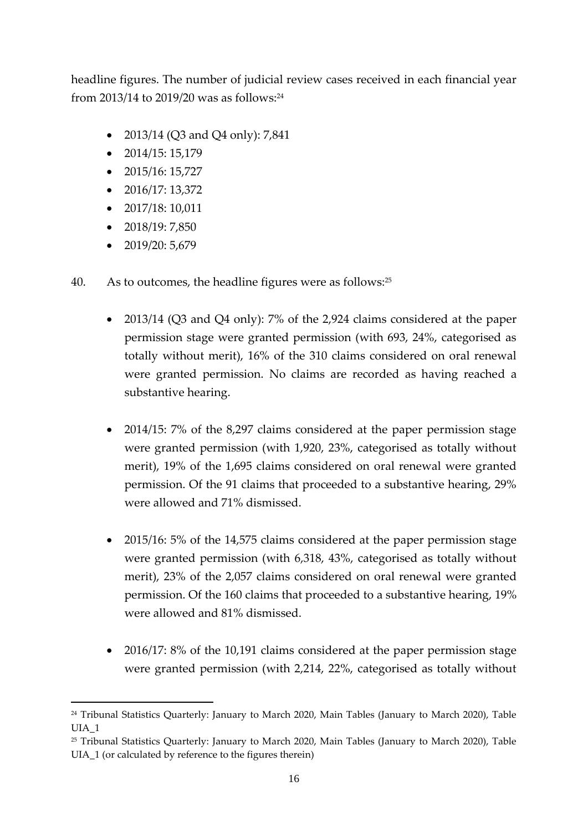headline figures. The number of judicial review cases received in each financial year from 2013/14 to 2019/20 was as follows:<sup>24</sup>

- 2013/14 (Q3 and Q4 only): 7,841
- $2014/15:15,179$
- 2015/16: 15,727
- $2016/17:13,372$
- $2017/18:10,011$
- $2018/19:7,850$
- 2019/20: 5,679
- 40. As to outcomes, the headline figures were as follows:<sup>25</sup>
	- 2013/14 (Q3 and Q4 only): 7% of the 2,924 claims considered at the paper permission stage were granted permission (with 693, 24%, categorised as totally without merit), 16% of the 310 claims considered on oral renewal were granted permission. No claims are recorded as having reached a substantive hearing.
	- 2014/15: 7% of the 8,297 claims considered at the paper permission stage were granted permission (with 1,920, 23%, categorised as totally without merit), 19% of the 1,695 claims considered on oral renewal were granted permission. Of the 91 claims that proceeded to a substantive hearing, 29% were allowed and 71% dismissed.
	- 2015/16: 5% of the 14,575 claims considered at the paper permission stage were granted permission (with 6,318, 43%, categorised as totally without merit), 23% of the 2,057 claims considered on oral renewal were granted permission. Of the 160 claims that proceeded to a substantive hearing, 19% were allowed and 81% dismissed.
	- 2016/17: 8% of the 10,191 claims considered at the paper permission stage were granted permission (with 2,214, 22%, categorised as totally without

<sup>&</sup>lt;sup>24</sup> Tribunal Statistics Quarterly: January to March 2020, Main Tables (January to March 2020), Table UIA\_1

<sup>&</sup>lt;sup>25</sup> Tribunal Statistics Quarterly: January to March 2020, Main Tables (January to March 2020), Table UIA\_1 (or calculated by reference to the figures therein)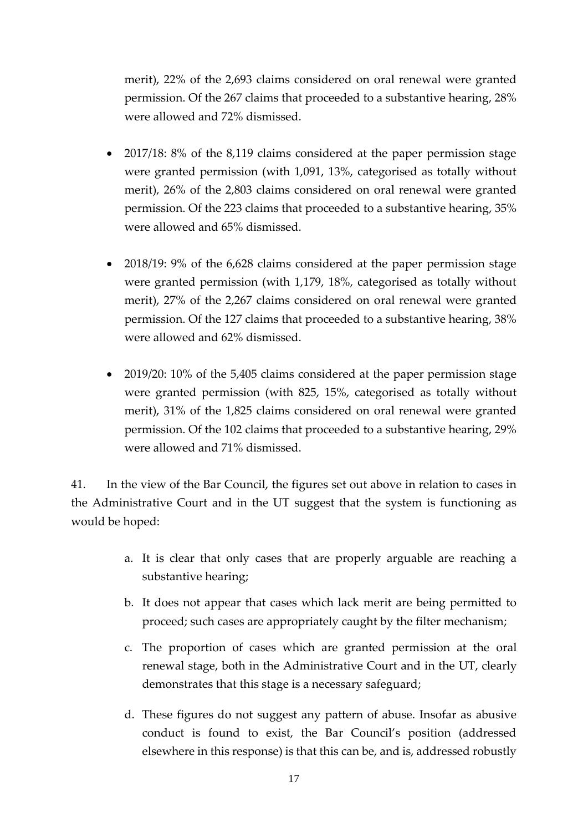merit), 22% of the 2,693 claims considered on oral renewal were granted permission. Of the 267 claims that proceeded to a substantive hearing, 28% were allowed and 72% dismissed.

- 2017/18: 8% of the 8,119 claims considered at the paper permission stage were granted permission (with 1,091, 13%, categorised as totally without merit), 26% of the 2,803 claims considered on oral renewal were granted permission. Of the 223 claims that proceeded to a substantive hearing, 35% were allowed and 65% dismissed.
- 2018/19: 9% of the 6,628 claims considered at the paper permission stage were granted permission (with 1,179, 18%, categorised as totally without merit), 27% of the 2,267 claims considered on oral renewal were granted permission. Of the 127 claims that proceeded to a substantive hearing, 38% were allowed and 62% dismissed.
- 2019/20: 10% of the 5,405 claims considered at the paper permission stage were granted permission (with 825, 15%, categorised as totally without merit), 31% of the 1,825 claims considered on oral renewal were granted permission. Of the 102 claims that proceeded to a substantive hearing, 29% were allowed and 71% dismissed.

41. In the view of the Bar Council, the figures set out above in relation to cases in the Administrative Court and in the UT suggest that the system is functioning as would be hoped:

- a. It is clear that only cases that are properly arguable are reaching a substantive hearing;
- b. It does not appear that cases which lack merit are being permitted to proceed; such cases are appropriately caught by the filter mechanism;
- c. The proportion of cases which are granted permission at the oral renewal stage, both in the Administrative Court and in the UT, clearly demonstrates that this stage is a necessary safeguard;
- d. These figures do not suggest any pattern of abuse. Insofar as abusive conduct is found to exist, the Bar Council's position (addressed elsewhere in this response) is that this can be, and is, addressed robustly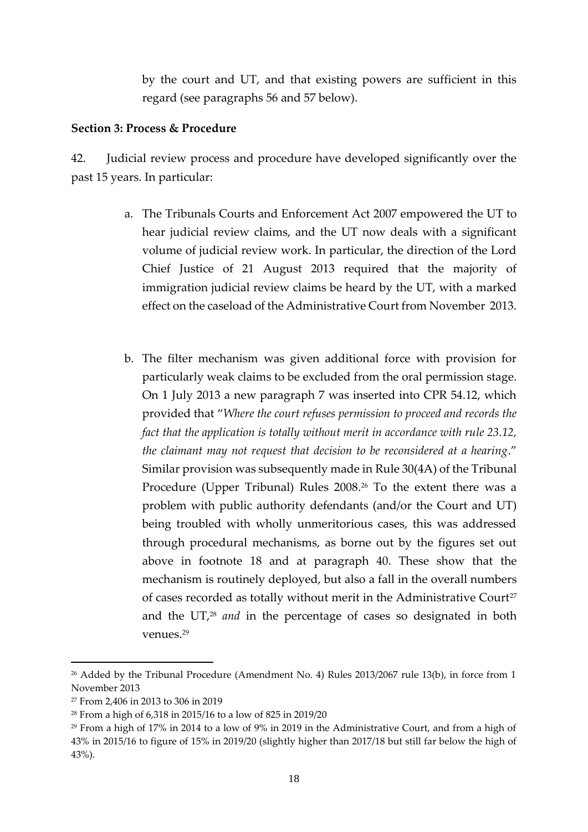by the court and UT, and that existing powers are sufficient in this regard (see paragraphs 56 and 57 below).

#### **Section 3: Process & Procedure**

42. Judicial review process and procedure have developed significantly over the past 15 years. In particular:

- a. The Tribunals Courts and Enforcement Act 2007 empowered the UT to hear judicial review claims, and the UT now deals with a significant volume of judicial review work. In particular, the direction of the Lord Chief Justice of 21 August 2013 required that the majority of immigration judicial review claims be heard by the UT, with a marked effect on the caseload of the Administrative Court from November 2013.
- b. The filter mechanism was given additional force with provision for particularly weak claims to be excluded from the oral permission stage. On 1 July 2013 a new paragraph 7 was inserted into CPR 54.12, which provided that "*Where the court refuses permission to proceed and records the fact that the application is totally without merit in accordance with rule 23.12, the claimant may not request that decision to be reconsidered at a hearing*." Similar provision was subsequently made in Rule 30(4A) of the Tribunal Procedure (Upper Tribunal) Rules 2008. <sup>26</sup> To the extent there was a problem with public authority defendants (and/or the Court and UT) being troubled with wholly unmeritorious cases, this was addressed through procedural mechanisms, as borne out by the figures set out above in footnote 18 and at paragraph 40. These show that the mechanism is routinely deployed, but also a fall in the overall numbers of cases recorded as totally without merit in the Administrative Court<sup>27</sup> and the UT, <sup>28</sup> *and* in the percentage of cases so designated in both venues. 29

<sup>&</sup>lt;sup>26</sup> Added by the Tribunal Procedure (Amendment No. 4) Rules 2013/2067 rule 13(b), in force from 1 November 2013

<sup>27</sup> From 2,406 in 2013 to 306 in 2019

<sup>28</sup> From a high of 6,318 in 2015/16 to a low of 825 in 2019/20

<sup>29</sup> From a high of 17% in 2014 to a low of 9% in 2019 in the Administrative Court, and from a high of 43% in 2015/16 to figure of 15% in 2019/20 (slightly higher than 2017/18 but still far below the high of 43%).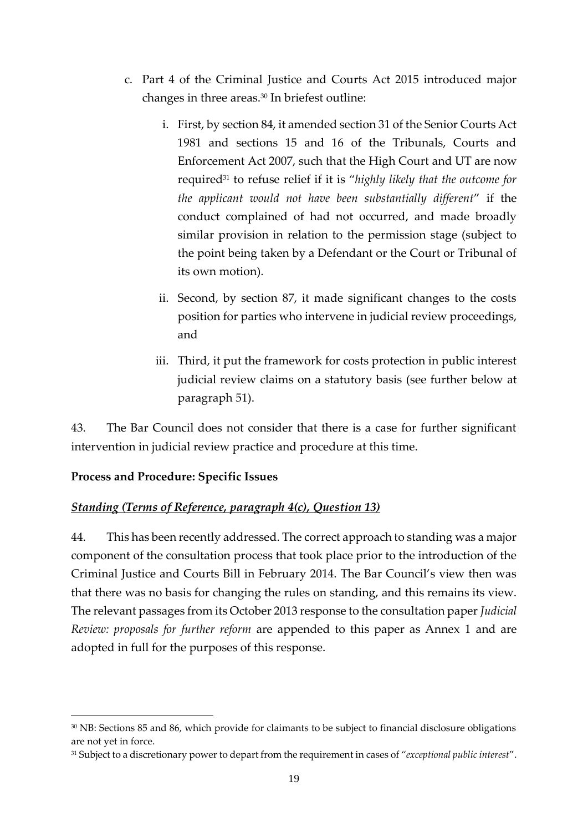- c. Part 4 of the Criminal Justice and Courts Act 2015 introduced major changes in three areas.<sup>30</sup> In briefest outline:
	- i. First, by section 84, it amended section 31 of the Senior Courts Act 1981 and sections 15 and 16 of the Tribunals, Courts and Enforcement Act 2007, such that the High Court and UT are now required<sup>31</sup> to refuse relief if it is "*highly likely that the outcome for the applicant would not have been substantially different*" if the conduct complained of had not occurred, and made broadly similar provision in relation to the permission stage (subject to the point being taken by a Defendant or the Court or Tribunal of its own motion).
	- ii. Second, by section 87, it made significant changes to the costs position for parties who intervene in judicial review proceedings, and
	- iii. Third, it put the framework for costs protection in public interest judicial review claims on a statutory basis (see further below at paragraph 51).

43. The Bar Council does not consider that there is a case for further significant intervention in judicial review practice and procedure at this time.

# **Process and Procedure: Specific Issues**

# *Standing (Terms of Reference, paragraph 4(c), Question 13)*

44. This has been recently addressed. The correct approach to standing was a major component of the consultation process that took place prior to the introduction of the Criminal Justice and Courts Bill in February 2014. The Bar Council's view then was that there was no basis for changing the rules on standing, and this remains its view. The relevant passages from its October 2013 response to the consultation paper *Judicial Review: proposals for further reform* are appended to this paper as Annex 1 and are adopted in full for the purposes of this response.

<sup>30</sup> NB: Sections 85 and 86, which provide for claimants to be subject to financial disclosure obligations are not yet in force.

<sup>31</sup> Subject to a discretionary power to depart from the requirement in cases of "*exceptional public interest*".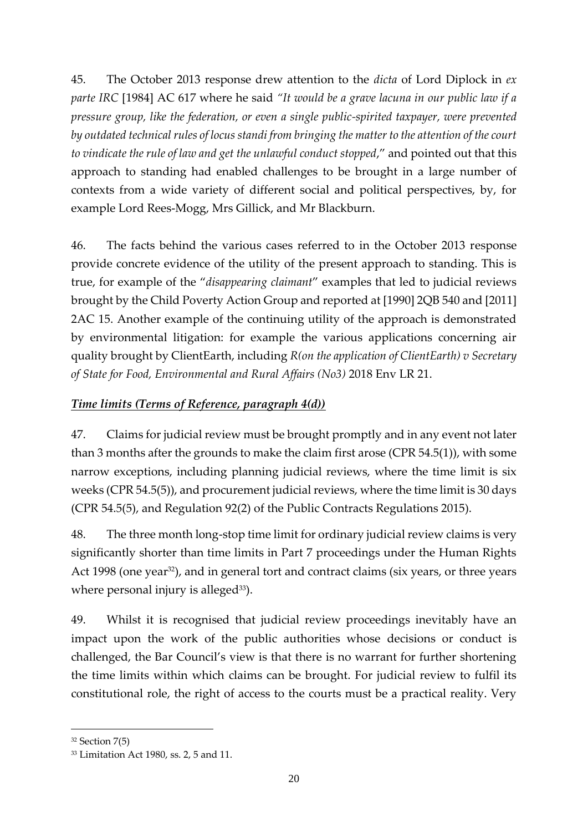45. The October 2013 response drew attention to the *dicta* of Lord Diplock in *ex parte IRC* [1984] AC 617 where he said *"It would be a grave lacuna in our public law if a pressure group, like the federation, or even a single public-spirited taxpayer, were prevented by outdated technical rules of locus standi from bringing the matter to the attention of the court to vindicate the rule of law and get the unlawful conduct stopped*," and pointed out that this approach to standing had enabled challenges to be brought in a large number of contexts from a wide variety of different social and political perspectives, by, for example Lord Rees-Mogg, Mrs Gillick, and Mr Blackburn.

46. The facts behind the various cases referred to in the October 2013 response provide concrete evidence of the utility of the present approach to standing. This is true, for example of the "*disappearing claimant*" examples that led to judicial reviews brought by the Child Poverty Action Group and reported at [1990] 2QB 540 and [2011] 2AC 15. Another example of the continuing utility of the approach is demonstrated by environmental litigation: for example the various applications concerning air quality brought by ClientEarth, including *R(on the application of ClientEarth) v Secretary of State for Food, Environmental and Rural Affairs (No3)* 2018 Env LR 21.

# *Time limits (Terms of Reference, paragraph 4(d))*

47. Claims for judicial review must be brought promptly and in any event not later than 3 months after the grounds to make the claim first arose (CPR 54.5(1)), with some narrow exceptions, including planning judicial reviews, where the time limit is six weeks (CPR 54.5(5)), and procurement judicial reviews, where the time limit is 30 days (CPR 54.5(5), and Regulation 92(2) of the Public Contracts Regulations 2015).

48. The three month long-stop time limit for ordinary judicial review claims is very significantly shorter than time limits in Part 7 proceedings under the Human Rights Act 1998 (one year<sup>32</sup>), and in general tort and contract claims (six years, or three years where personal injury is alleged $33$ ).

49. Whilst it is recognised that judicial review proceedings inevitably have an impact upon the work of the public authorities whose decisions or conduct is challenged, the Bar Council's view is that there is no warrant for further shortening the time limits within which claims can be brought. For judicial review to fulfil its constitutional role, the right of access to the courts must be a practical reality. Very

<sup>32</sup> Section 7(5)

<sup>33</sup> Limitation Act 1980, ss. 2, 5 and 11.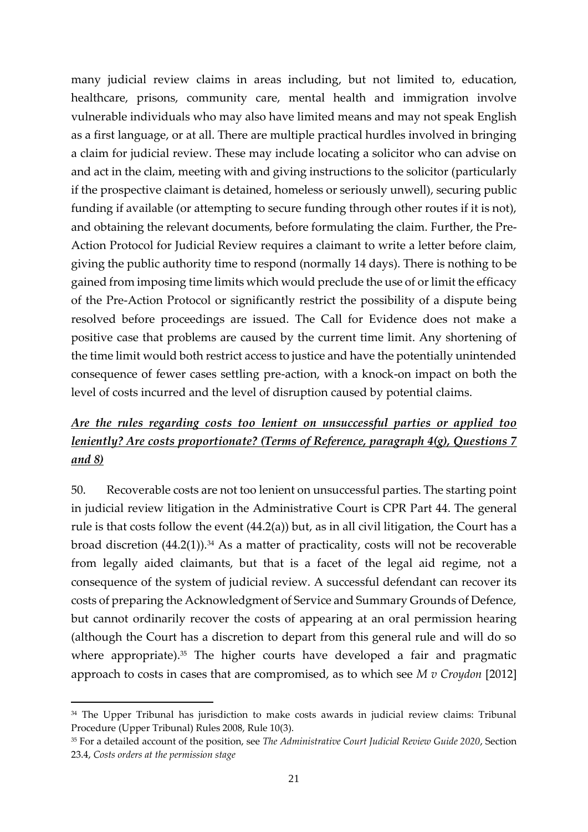many judicial review claims in areas including, but not limited to, education, healthcare, prisons, community care, mental health and immigration involve vulnerable individuals who may also have limited means and may not speak English as a first language, or at all. There are multiple practical hurdles involved in bringing a claim for judicial review. These may include locating a solicitor who can advise on and act in the claim, meeting with and giving instructions to the solicitor (particularly if the prospective claimant is detained, homeless or seriously unwell), securing public funding if available (or attempting to secure funding through other routes if it is not), and obtaining the relevant documents, before formulating the claim. Further, the Pre-Action Protocol for Judicial Review requires a claimant to write a letter before claim, giving the public authority time to respond (normally 14 days). There is nothing to be gained from imposing time limits which would preclude the use of or limit the efficacy of the Pre-Action Protocol or significantly restrict the possibility of a dispute being resolved before proceedings are issued. The Call for Evidence does not make a positive case that problems are caused by the current time limit. Any shortening of the time limit would both restrict access to justice and have the potentially unintended consequence of fewer cases settling pre-action, with a knock-on impact on both the level of costs incurred and the level of disruption caused by potential claims.

# *Are the rules regarding costs too lenient on unsuccessful parties or applied too leniently? Are costs proportionate? (Terms of Reference, paragraph 4(g), Questions 7 and 8)*

50. Recoverable costs are not too lenient on unsuccessful parties. The starting point in judicial review litigation in the Administrative Court is CPR Part 44. The general rule is that costs follow the event (44.2(a)) but, as in all civil litigation, the Court has a broad discretion  $(44.2(1))$ .<sup>34</sup> As a matter of practicality, costs will not be recoverable from legally aided claimants, but that is a facet of the legal aid regime, not a consequence of the system of judicial review. A successful defendant can recover its costs of preparing the Acknowledgment of Service and Summary Grounds of Defence, but cannot ordinarily recover the costs of appearing at an oral permission hearing (although the Court has a discretion to depart from this general rule and will do so where appropriate).<sup>35</sup> The higher courts have developed a fair and pragmatic approach to costs in cases that are compromised, as to which see *M v Croydon* [2012]

<sup>&</sup>lt;sup>34</sup> The Upper Tribunal has jurisdiction to make costs awards in judicial review claims: Tribunal Procedure (Upper Tribunal) Rules 2008, Rule 10(3).

<sup>35</sup> For a detailed account of the position, see *The Administrative Court Judicial Review Guide 2020*, Section 23.4, *Costs orders at the permission stage*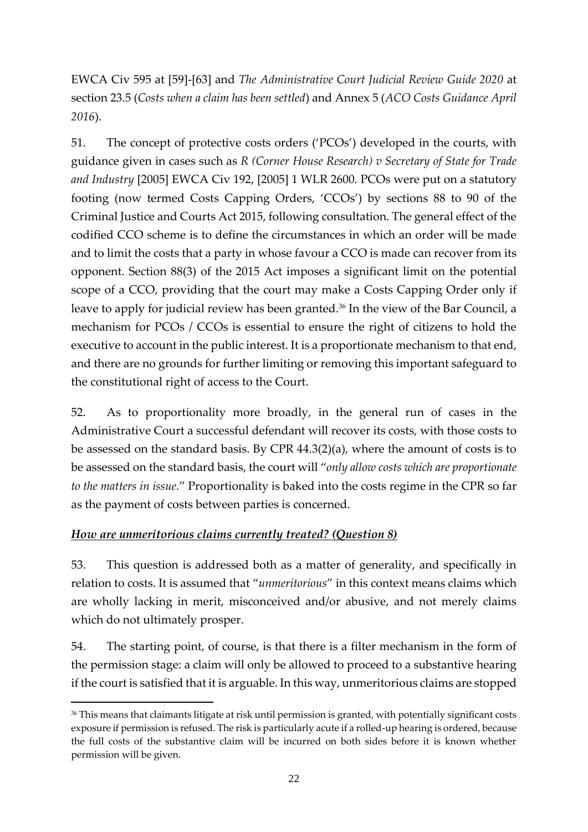EWCA Civ 595 at [59]-[63] and *The Administrative Court Judicial Review Guide 2020* at section 23.5 (*Costs when a claim has been settled*) and Annex 5 (*ACO Costs Guidance April 2016*).

51. The concept of protective costs orders ('PCOs') developed in the courts, with guidance given in cases such as *R (Corner House Research) v Secretary of State for Trade and Industry* [2005] EWCA Civ 192, [2005] 1 WLR 2600. PCOs were put on a statutory footing (now termed Costs Capping Orders, 'CCOs') by sections 88 to 90 of the Criminal Justice and Courts Act 2015, following consultation. The general effect of the codified CCO scheme is to define the circumstances in which an order will be made and to limit the costs that a party in whose favour a CCO is made can recover from its opponent. Section 88(3) of the 2015 Act imposes a significant limit on the potential scope of a CCO, providing that the court may make a Costs Capping Order only if leave to apply for judicial review has been granted.<sup>36</sup> In the view of the Bar Council, a mechanism for PCOs / CCOs is essential to ensure the right of citizens to hold the executive to account in the public interest. It is a proportionate mechanism to that end, and there are no grounds for further limiting or removing this important safeguard to the constitutional right of access to the Court.

52. As to proportionality more broadly, in the general run of cases in the Administrative Court a successful defendant will recover its costs, with those costs to be assessed on the standard basis. By CPR 44.3(2)(a), where the amount of costs is to be assessed on the standard basis, the court will "*only allow costs which are proportionate to the matters in issue.*" Proportionality is baked into the costs regime in the CPR so far as the payment of costs between parties is concerned.

# *How are unmeritorious claims currently treated? (Question 8)*

53. This question is addressed both as a matter of generality, and specifically in relation to costs. It is assumed that "*unmeritorious*" in this context means claims which are wholly lacking in merit, misconceived and/or abusive, and not merely claims which do not ultimately prosper.

54. The starting point, of course, is that there is a filter mechanism in the form of the permission stage: a claim will only be allowed to proceed to a substantive hearing if the court is satisfied that it is arguable. In this way, unmeritorious claims are stopped

<sup>&</sup>lt;sup>36</sup> This means that claimants litigate at risk until permission is granted, with potentially significant costs exposure if permission is refused. The risk is particularly acute if a rolled-up hearing is ordered, because the full costs of the substantive claim will be incurred on both sides before it is known whether permission will be given.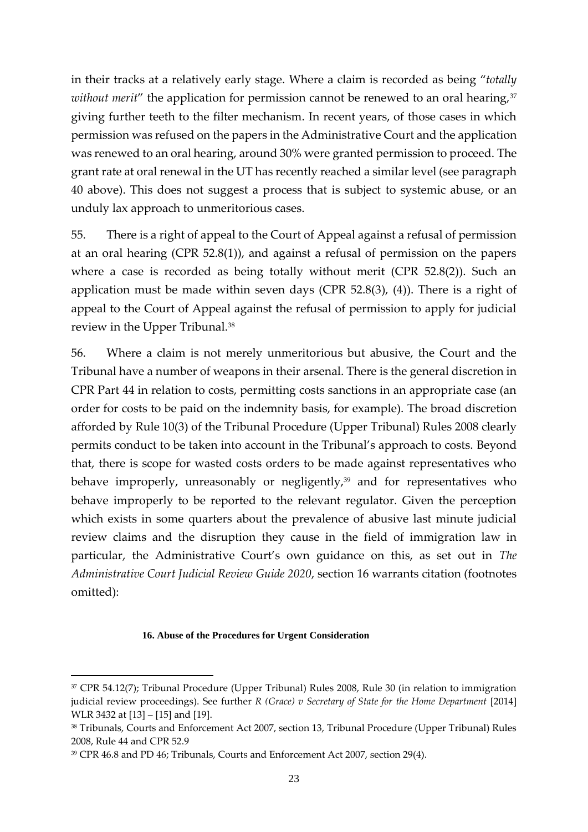in their tracks at a relatively early stage. Where a claim is recorded as being "*totally without merit*" the application for permission cannot be renewed to an oral hearing,<sup>37</sup> giving further teeth to the filter mechanism. In recent years, of those cases in which permission was refused on the papers in the Administrative Court and the application was renewed to an oral hearing, around 30% were granted permission to proceed. The grant rate at oral renewal in the UT has recently reached a similar level (see paragraph 40 above). This does not suggest a process that is subject to systemic abuse, or an unduly lax approach to unmeritorious cases.

55. There is a right of appeal to the Court of Appeal against a refusal of permission at an oral hearing (CPR 52.8(1)), and against a refusal of permission on the papers where a case is recorded as being totally without merit (CPR 52.8(2)). Such an application must be made within seven days (CPR 52.8(3), (4)). There is a right of appeal to the Court of Appeal against the refusal of permission to apply for judicial review in the Upper Tribunal.<sup>38</sup>

56. Where a claim is not merely unmeritorious but abusive, the Court and the Tribunal have a number of weapons in their arsenal. There is the general discretion in CPR Part 44 in relation to costs, permitting costs sanctions in an appropriate case (an order for costs to be paid on the indemnity basis, for example). The broad discretion afforded by Rule 10(3) of the Tribunal Procedure (Upper Tribunal) Rules 2008 clearly permits conduct to be taken into account in the Tribunal's approach to costs. Beyond that, there is scope for wasted costs orders to be made against representatives who behave improperly, unreasonably or negligently,<sup>39</sup> and for representatives who behave improperly to be reported to the relevant regulator. Given the perception which exists in some quarters about the prevalence of abusive last minute judicial review claims and the disruption they cause in the field of immigration law in particular, the Administrative Court's own guidance on this, as set out in *The Administrative Court Judicial Review Guide 2020*, section 16 warrants citation (footnotes omitted):

#### **16. Abuse of the Procedures for Urgent Consideration**

<sup>37</sup> CPR 54.12(7); Tribunal Procedure (Upper Tribunal) Rules 2008, Rule 30 (in relation to immigration judicial review proceedings). See further *R (Grace) v Secretary of State for the Home Department* [2014] WLR 3432 at [13] – [15] and [19].

<sup>38</sup> Tribunals, Courts and Enforcement Act 2007, section 13, Tribunal Procedure (Upper Tribunal) Rules 2008, Rule 44 and CPR 52.9

<sup>39</sup> CPR 46.8 and PD 46; Tribunals, Courts and Enforcement Act 2007, section 29(4).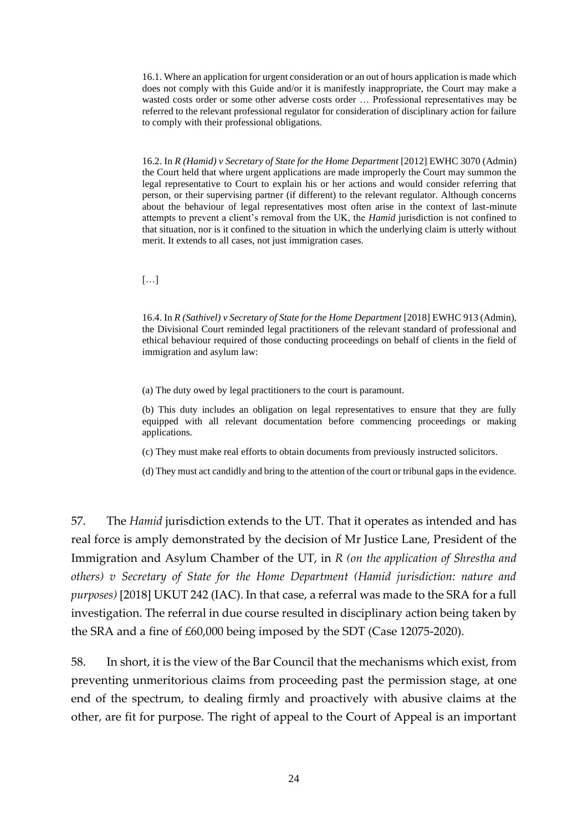16.1. Where an application for urgent consideration or an out of hours application is made which does not comply with this Guide and/or it is manifestly inappropriate, the Court may make a wasted costs order or some other adverse costs order … Professional representatives may be referred to the relevant professional regulator for consideration of disciplinary action for failure to comply with their professional obligations.

16.2. In *R (Hamid) v Secretary of State for the Home Department* [2012] EWHC 3070 (Admin) the Court held that where urgent applications are made improperly the Court may summon the legal representative to Court to explain his or her actions and would consider referring that person, or their supervising partner (if different) to the relevant regulator. Although concerns about the behaviour of legal representatives most often arise in the context of last-minute attempts to prevent a client's removal from the UK, the *Hamid* jurisdiction is not confined to that situation, nor is it confined to the situation in which the underlying claim is utterly without merit. It extends to all cases, not just immigration cases.

[…]

16.4. In *R (Sathivel) v Secretary of State for the Home Department* [2018] EWHC 913 (Admin), the Divisional Court reminded legal practitioners of the relevant standard of professional and ethical behaviour required of those conducting proceedings on behalf of clients in the field of immigration and asylum law:

(a) The duty owed by legal practitioners to the court is paramount.

(b) This duty includes an obligation on legal representatives to ensure that they are fully equipped with all relevant documentation before commencing proceedings or making applications.

(c) They must make real efforts to obtain documents from previously instructed solicitors.

(d) They must act candidly and bring to the attention of the court or tribunal gaps in the evidence.

57. The *Hamid* jurisdiction extends to the UT. That it operates as intended and has real force is amply demonstrated by the decision of Mr Justice Lane, President of the Immigration and Asylum Chamber of the UT, in *R (on the application of Shrestha and others) v Secretary of State for the Home Department (Hamid jurisdiction: nature and purposes)* [2018] UKUT 242 (IAC). In that case, a referral was made to the SRA for a full investigation. The referral in due course resulted in disciplinary action being taken by the SRA and a fine of £60,000 being imposed by the SDT (Case 12075-2020).

58. In short, it is the view of the Bar Council that the mechanisms which exist, from preventing unmeritorious claims from proceeding past the permission stage, at one end of the spectrum, to dealing firmly and proactively with abusive claims at the other, are fit for purpose. The right of appeal to the Court of Appeal is an important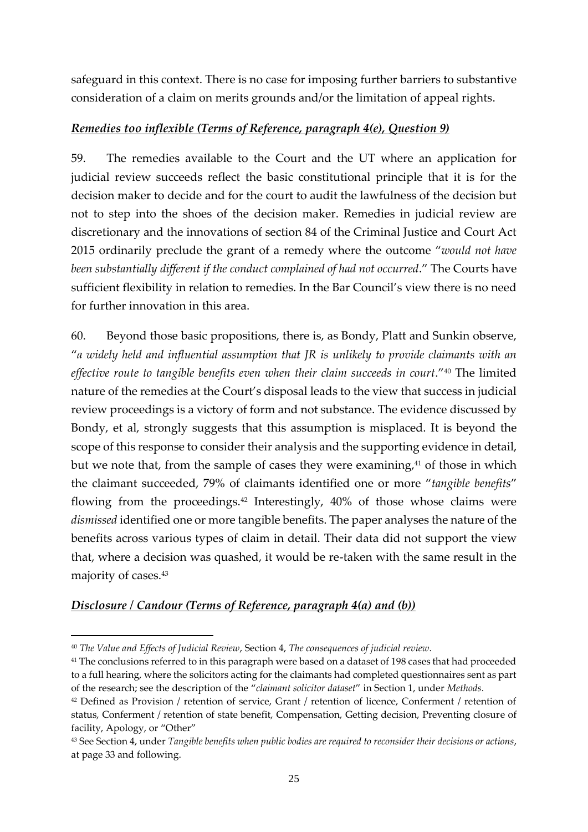safeguard in this context. There is no case for imposing further barriers to substantive consideration of a claim on merits grounds and/or the limitation of appeal rights.

# *Remedies too inflexible (Terms of Reference, paragraph 4(e), Question 9)*

59. The remedies available to the Court and the UT where an application for judicial review succeeds reflect the basic constitutional principle that it is for the decision maker to decide and for the court to audit the lawfulness of the decision but not to step into the shoes of the decision maker. Remedies in judicial review are discretionary and the innovations of section 84 of the Criminal Justice and Court Act 2015 ordinarily preclude the grant of a remedy where the outcome "*would not have been substantially different if the conduct complained of had not occurred*." The Courts have sufficient flexibility in relation to remedies. In the Bar Council's view there is no need for further innovation in this area.

60. Beyond those basic propositions, there is, as Bondy, Platt and Sunkin observe, "*a widely held and influential assumption that JR is unlikely to provide claimants with an*  effective route to tangible benefits even when their claim succeeds in court."<sup>40</sup> The limited nature of the remedies at the Court's disposal leads to the view that success in judicial review proceedings is a victory of form and not substance. The evidence discussed by Bondy, et al, strongly suggests that this assumption is misplaced. It is beyond the scope of this response to consider their analysis and the supporting evidence in detail, but we note that, from the sample of cases they were examining,<sup>41</sup> of those in which the claimant succeeded, 79% of claimants identified one or more "*tangible benefits*" flowing from the proceedings.<sup>42</sup> Interestingly, 40% of those whose claims were *dismissed* identified one or more tangible benefits. The paper analyses the nature of the benefits across various types of claim in detail. Their data did not support the view that, where a decision was quashed, it would be re-taken with the same result in the majority of cases.<sup>43</sup>

# *Disclosure / Candour (Terms of Reference, paragraph 4(a) and (b))*

<sup>40</sup> *The Value and Effects of Judicial Review*, Section 4, *The consequences of judicial review*.

<sup>&</sup>lt;sup>41</sup> The conclusions referred to in this paragraph were based on a dataset of 198 cases that had proceeded to a full hearing, where the solicitors acting for the claimants had completed questionnaires sent as part of the research; see the description of the "*claimant solicitor dataset*" in Section 1, under *Methods*.

<sup>42</sup> Defined as Provision / retention of service, Grant / retention of licence, Conferment / retention of status, Conferment / retention of state benefit, Compensation, Getting decision, Preventing closure of facility, Apology, or "Other"

<sup>43</sup> See Section 4, under *Tangible benefits when public bodies are required to reconsider their decisions or actions*, at page 33 and following.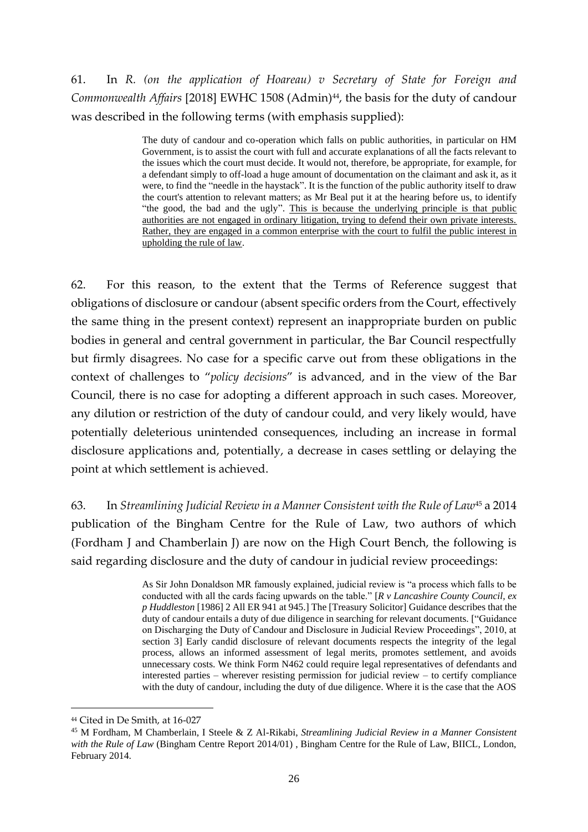# 61. In *R. (on the application of Hoareau) v Secretary of State for Foreign and Commonwealth Affairs* [2018] EWHC 1508 (Admin)<sup>44</sup>, the basis for the duty of candour was described in the following terms (with emphasis supplied):

The duty of candour and co-operation which falls on public authorities, in particular on HM Government, is to assist the court with full and accurate explanations of all the facts relevant to the issues which the court must decide. It would not, therefore, be appropriate, for example, for a defendant simply to off-load a huge amount of documentation on the claimant and ask it, as it were, to find the "needle in the haystack". It is the function of the public authority itself to draw the court's attention to relevant matters; as Mr Beal put it at the hearing before us, to identify "the good, the bad and the ugly". This is because the underlying principle is that public authorities are not engaged in ordinary litigation, trying to defend their own private interests. Rather, they are engaged in a common enterprise with the court to fulfil the public interest in upholding the rule of law.

62. For this reason, to the extent that the Terms of Reference suggest that obligations of disclosure or candour (absent specific orders from the Court, effectively the same thing in the present context) represent an inappropriate burden on public bodies in general and central government in particular, the Bar Council respectfully but firmly disagrees. No case for a specific carve out from these obligations in the context of challenges to "*policy decisions*" is advanced, and in the view of the Bar Council, there is no case for adopting a different approach in such cases. Moreover, any dilution or restriction of the duty of candour could, and very likely would, have potentially deleterious unintended consequences, including an increase in formal disclosure applications and, potentially, a decrease in cases settling or delaying the point at which settlement is achieved.

63. In *Streamlining Judicial Review in a Manner Consistent with the Rule of Law*<sup>45</sup> a 2014 publication of the Bingham Centre for the Rule of Law, two authors of which (Fordham J and Chamberlain J) are now on the High Court Bench, the following is said regarding disclosure and the duty of candour in judicial review proceedings:

> As Sir John Donaldson MR famously explained, judicial review is "a process which falls to be conducted with all the cards facing upwards on the table." [*R v Lancashire County Council, ex p Huddleston* [1986] 2 All ER 941 at 945.] The [Treasury Solicitor] Guidance describes that the duty of candour entails a duty of due diligence in searching for relevant documents. ["Guidance on Discharging the Duty of Candour and Disclosure in Judicial Review Proceedings", 2010, at section 3] Early candid disclosure of relevant documents respects the integrity of the legal process, allows an informed assessment of legal merits, promotes settlement, and avoids unnecessary costs. We think Form N462 could require legal representatives of defendants and interested parties – wherever resisting permission for judicial review – to certify compliance with the duty of candour, including the duty of due diligence. Where it is the case that the AOS

<sup>44</sup> Cited in De Smith, at 16-027

<sup>45</sup> M Fordham, M Chamberlain, I Steele & Z Al-Rikabi, *Streamlining Judicial Review in a Manner Consistent with the Rule of Law* (Bingham Centre Report 2014/01) , Bingham Centre for the Rule of Law, BIICL, London, February 2014.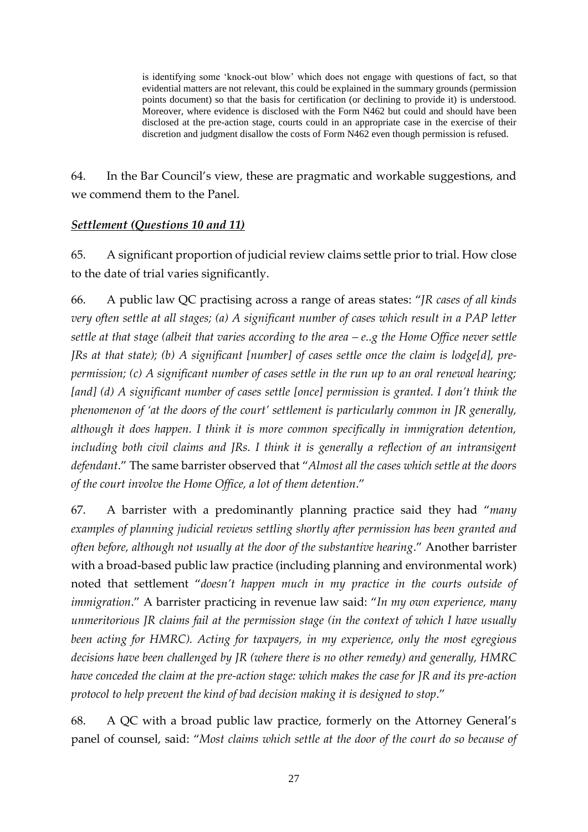is identifying some 'knock-out blow' which does not engage with questions of fact, so that evidential matters are not relevant, this could be explained in the summary grounds (permission points document) so that the basis for certification (or declining to provide it) is understood. Moreover, where evidence is disclosed with the Form N462 but could and should have been disclosed at the pre-action stage, courts could in an appropriate case in the exercise of their discretion and judgment disallow the costs of Form N462 even though permission is refused.

64. In the Bar Council's view, these are pragmatic and workable suggestions, and we commend them to the Panel.

# *Settlement (Questions 10 and 11)*

65. A significant proportion of judicial review claims settle prior to trial. How close to the date of trial varies significantly.

66. A public law QC practising across a range of areas states: "*JR cases of all kinds very often settle at all stages; (a) A significant number of cases which result in a PAP letter settle at that stage (albeit that varies according to the area – e..g the Home Office never settle JRs at that state); (b) A significant [number] of cases settle once the claim is lodge[d], prepermission; (c) A significant number of cases settle in the run up to an oral renewal hearing; [and] (d) A significant number of cases settle [once] permission is granted. I don't think the phenomenon of 'at the doors of the court' settlement is particularly common in JR generally, although it does happen. I think it is more common specifically in immigration detention,*  including both civil claims and JRs. I think it is generally a reflection of an intransigent *defendant*." The same barrister observed that "*Almost all the cases which settle at the doors of the court involve the Home Office, a lot of them detention*."

67. A barrister with a predominantly planning practice said they had "*many examples of planning judicial reviews settling shortly after permission has been granted and often before, although not usually at the door of the substantive hearing*." Another barrister with a broad-based public law practice (including planning and environmental work) noted that settlement "*doesn't happen much in my practice in the courts outside of immigration*." A barrister practicing in revenue law said: "*In my own experience, many unmeritorious JR claims fail at the permission stage (in the context of which I have usually been acting for HMRC). Acting for taxpayers, in my experience, only the most egregious decisions have been challenged by JR (where there is no other remedy) and generally, HMRC have conceded the claim at the pre-action stage: which makes the case for JR and its pre-action protocol to help prevent the kind of bad decision making it is designed to stop*."

68. A QC with a broad public law practice, formerly on the Attorney General's panel of counsel, said: "*Most claims which settle at the door of the court do so because of*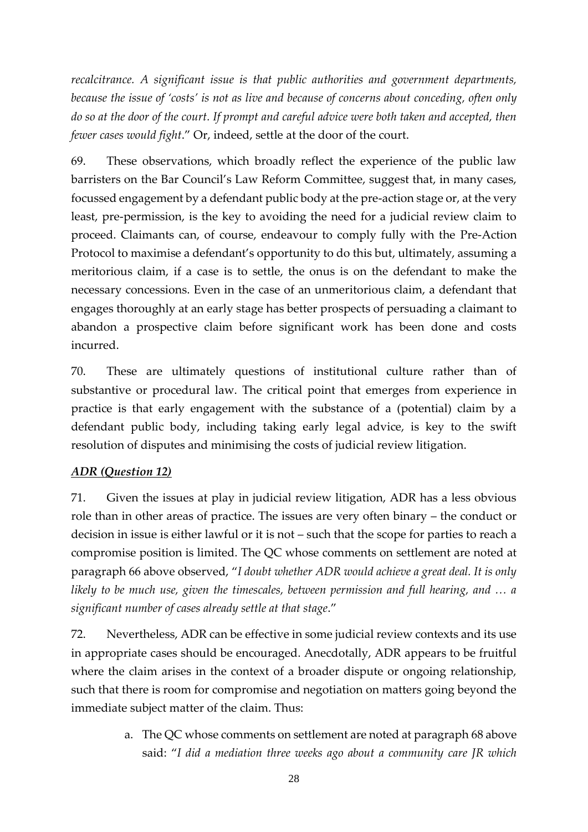*recalcitrance. A significant issue is that public authorities and government departments, because the issue of 'costs' is not as live and because of concerns about conceding, often only do so at the door of the court. If prompt and careful advice were both taken and accepted, then fewer cases would fight*." Or, indeed, settle at the door of the court.

69. These observations, which broadly reflect the experience of the public law barristers on the Bar Council's Law Reform Committee, suggest that, in many cases, focussed engagement by a defendant public body at the pre-action stage or, at the very least, pre-permission, is the key to avoiding the need for a judicial review claim to proceed. Claimants can, of course, endeavour to comply fully with the Pre-Action Protocol to maximise a defendant's opportunity to do this but, ultimately, assuming a meritorious claim, if a case is to settle, the onus is on the defendant to make the necessary concessions. Even in the case of an unmeritorious claim, a defendant that engages thoroughly at an early stage has better prospects of persuading a claimant to abandon a prospective claim before significant work has been done and costs incurred.

70. These are ultimately questions of institutional culture rather than of substantive or procedural law. The critical point that emerges from experience in practice is that early engagement with the substance of a (potential) claim by a defendant public body, including taking early legal advice, is key to the swift resolution of disputes and minimising the costs of judicial review litigation.

# *ADR (Question 12)*

71. Given the issues at play in judicial review litigation, ADR has a less obvious role than in other areas of practice. The issues are very often binary – the conduct or decision in issue is either lawful or it is not – such that the scope for parties to reach a compromise position is limited. The QC whose comments on settlement are noted at paragraph 66 above observed, "*I doubt whether ADR would achieve a great deal. It is only likely to be much use, given the timescales, between permission and full hearing, and … a significant number of cases already settle at that stage*."

72. Nevertheless, ADR can be effective in some judicial review contexts and its use in appropriate cases should be encouraged. Anecdotally, ADR appears to be fruitful where the claim arises in the context of a broader dispute or ongoing relationship, such that there is room for compromise and negotiation on matters going beyond the immediate subject matter of the claim. Thus:

> a. The QC whose comments on settlement are noted at paragraph 68 above said: "*I did a mediation three weeks ago about a community care JR which*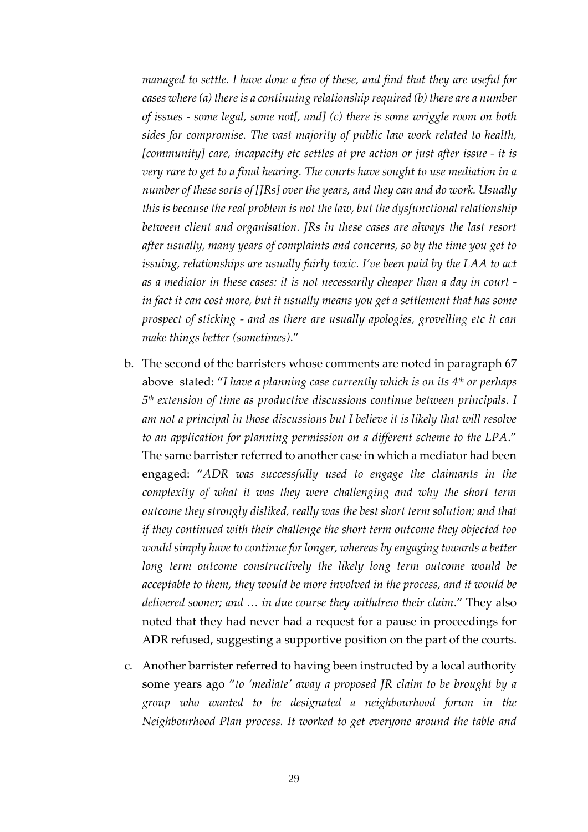*managed to settle. I have done a few of these, and find that they are useful for cases where (a) there is a continuing relationship required (b) there are a number of issues - some legal, some not[, and] (c) there is some wriggle room on both sides for compromise. The vast majority of public law work related to health, [community] care, incapacity etc settles at pre action or just after issue - it is very rare to get to a final hearing. The courts have sought to use mediation in a number of these sorts of [JRs] over the years, and they can and do work. Usually this is because the real problem is not the law, but the dysfunctional relationship between client and organisation. JRs in these cases are always the last resort after usually, many years of complaints and concerns, so by the time you get to issuing, relationships are usually fairly toxic. I've been paid by the LAA to act as a mediator in these cases: it is not necessarily cheaper than a day in court in fact it can cost more, but it usually means you get a settlement that has some prospect of sticking - and as there are usually apologies, grovelling etc it can make things better (sometimes)*."

- b. The second of the barristers whose comments are noted in paragraph 67 above stated: "*I have a planning case currently which is on its 4th or perhaps 5 th extension of time as productive discussions continue between principals. I am not a principal in those discussions but I believe it is likely that will resolve to an application for planning permission on a different scheme to the LPA*." The same barrister referred to another case in which a mediator had been engaged: "*ADR was successfully used to engage the claimants in the complexity of what it was they were challenging and why the short term outcome they strongly disliked, really was the best short term solution; and that if they continued with their challenge the short term outcome they objected too would simply have to continue for longer, whereas by engaging towards a better long term outcome constructively the likely long term outcome would be acceptable to them, they would be more involved in the process, and it would be delivered sooner; and … in due course they withdrew their claim*." They also noted that they had never had a request for a pause in proceedings for ADR refused, suggesting a supportive position on the part of the courts.
- c. Another barrister referred to having been instructed by a local authority some years ago "*to 'mediate' away a proposed JR claim to be brought by a group who wanted to be designated a neighbourhood forum in the Neighbourhood Plan process. It worked to get everyone around the table and*